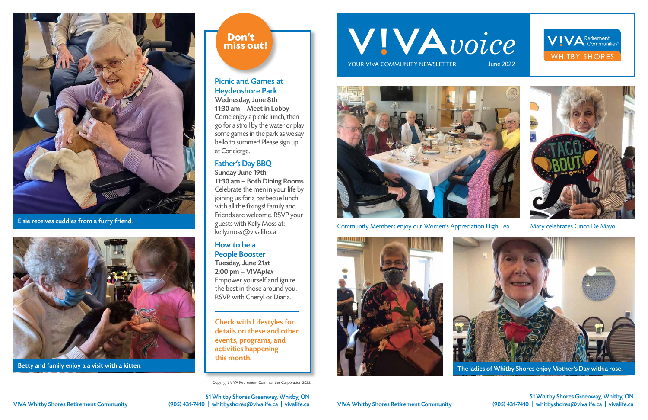Copyright V!VA Retirement Communities Corporation 2022

# WIVAvoice

YOUR VIVA COMMUNITY NEWSLETTER June 2022



Community Members enjoy our Women's Appreciation High Tea. Mary celebrates Cinco De Mayo.





51 Whitby Shores Greenway, Whitby, ON V!VA Whitby Shores Retirement Community (905) 431-7410 | whitbyshores@vivalife.ca | vivalife.ca

51 Whitby Shores Greenway, Whitby, ON V!VA Whitby Shores Retirement Community (905) 431-7410 | whitbyshores@vivalife.ca | vivalife.ca







#### Picnic and Games at Heydenshore Park

Wednesday, June 8th 11:30 am – Meet in Lobby Come enjoy a picnic lunch, then go for a stroll by the water or play some games in the park as we say hello to summer! Please sign up at Concierge.

#### Father's Day BBQ

Sunday June 19th 11:30 am – Both Dining Rooms Celebrate the men in your life by joining us for a barbecue lunch with all the fixings! Family and Friends are welcome. RSVP your guests with Kelly Moss at: kelly.moss@vivalife.ca

#### How to be a People Booster

Tuesday, June 21st 2:00 pm – V!VAplex Empower yourself and ignite the best in those around you. RSVP with Cheryl or Diana.

Check with Lifestyles for details on these and other events, programs, and activities happening this month.



Elsie receives cuddles from a furry friend.



Betty and family enjoy a a visit with a kitten.

#### Don't miss out!



The ladies of Whitby Shores enjoy Mother's Day with a rose.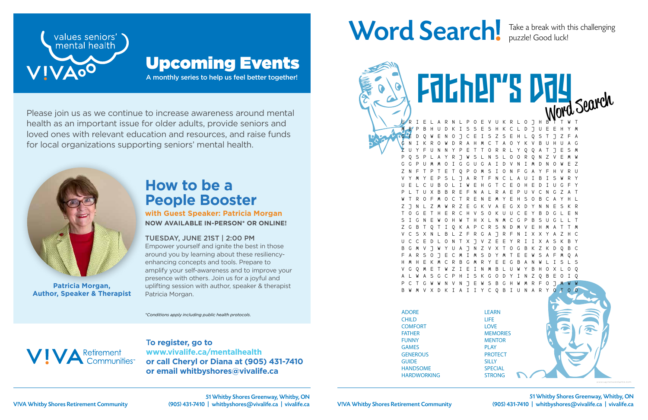51 Whitby Shores Greenway, Whitby, ON V!VA Whitby Shores Retirement Community (905) 431-7410 | whitbyshores@vivalife.ca | vivalife.ca



T**o register, go to www.vivalife.ca/mentalhealth or call Cheryl or Diana at (905) 431-7410 or email whitbyshores@vivalife.ca**

## Word Search! Take a break with this challenging



Please join us as we continue to increase awareness around mental health as an important issue for older adults, provide seniors and loved ones with relevant education and resources, and raise funds for local organizations supporting seniors' mental health.

A monthly series to help us feel better together!



### Upcoming Events

*\*Conditions apply including public health protocols.*



## **How to be a People Booster**

**with Guest Speaker: Patricia Morgan NOW AVAILABLE IN-PERSON\* OR ONLINE!**

#### TUESDAY, JUNE 21ST | 2:00 PM

Empower yourself and ignite the best in those around you by learning about these resiliencyenhancing concepts and tools. Prepare to amplify your self-awareness and to improve your presence with others. Join us for a joyful and uplifting session with author, speaker & therapist Patricia Morgan.



**Patricia Morgan, Author, Speaker & Therapist**

puzzle! Good luck!

E V U K R L O J H M B P B H U D K I S S E S H K C L D J U E E H Y M G E D Q W E N O J C E I S Z S E H L Q S T J Z F A G N I K R O W D R A H M C T A O Y K V B U H U A G Z U Y F U N N Y P E T T O R R L Y Q Q A T J E S M P Q S P L A Y R J W S L N S L O O R Q N Z V E M W G G P U M M O I G G U G A I D V N I M D N O W E Z Z N F T P T E T Q P O M S I O N F G A Y F H V R U V Y M Y E P S L J A R T F N C L A U I B I S W R Y U E L C U B O L I W E H G T C E O H E D I U G F Y P L T U X B B R E F N A L R A E P U V C N G Z A T W T R O F M O C T R E N E M Y E H S O B C A Y H L Z J N L Z M W R Z E G K V A E G X D Y N N E S K R T O G E T H E R C H V S O K U U C E Y B D G L E N S I G N E W O H W T H X L N M C G P B S U G L L T Z G B T Q T I Q K A P C R S N D M V E H M A T T M V C S X N L B L Z F R G A J R F N I X X Y A Z H C U C C E D L O N T X J V Z E E Y R I I X A S K B Y B G M V J W Y U A J N Z V X T O G B K Z K D Q B C F A R S O J E C M I M S D Y M T E E W S A F M Q A H M H E K M C R B G M R Y E E G B A N W L I S L S V G Q M E T W Z I E I N M B L U W Y B H O X L O Q S K G O D Y I N N V N J E W S B G H W M R V X D K I A I I Y C Q B I U N A R Father's Day

ADORE CHILD **COMFORT** FATHER FUNNY GAMES **GENEROUS** GUIDE HANDSOME HARDWORKING

Husband (1989)

LEARN LIFE LOVE **MEMORIES MENTOR** PLAY **PROTECT SILLY SPECIAL** STRONG

SWEET

*www.saynotsweetanne.com*

51 Whitby Shores Greenway, Whitby, ON V!VA Whitby Shores Retirement Community (905) 431-7410 | whitbyshores@vivalife.ca | vivalife.ca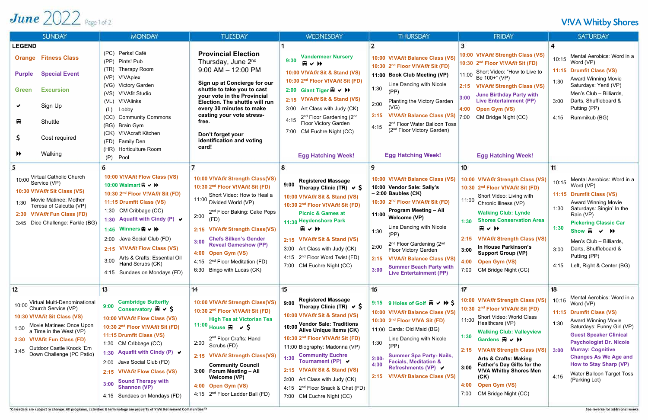## June  $2022$  Page 1 of 2

| <b>SUNDAY</b>                                                                                                                                                                                                                                                  | <b>MONDAY</b>                                                                                                                                                                                                                                                                                                                                                                                                                                  | <b>TUESDAY</b>                                                                                                                                                                                                                                                                                                                                                                                                    | <b>WEDNESDAY</b>                                                                                                                                                                                                                                                                                                                                                                                                                                               | <b>THURSDAY</b>                                                                                                                                                                                                                                                                                                                                                                                                                                      | <b>FRIDAY</b>                                                                                                                                                                                                                                                                                                                                                                                                                                                                      | <b>SATURDAY</b>                                                                                                                                                                                                                                                                                                                                                        |
|----------------------------------------------------------------------------------------------------------------------------------------------------------------------------------------------------------------------------------------------------------------|------------------------------------------------------------------------------------------------------------------------------------------------------------------------------------------------------------------------------------------------------------------------------------------------------------------------------------------------------------------------------------------------------------------------------------------------|-------------------------------------------------------------------------------------------------------------------------------------------------------------------------------------------------------------------------------------------------------------------------------------------------------------------------------------------------------------------------------------------------------------------|----------------------------------------------------------------------------------------------------------------------------------------------------------------------------------------------------------------------------------------------------------------------------------------------------------------------------------------------------------------------------------------------------------------------------------------------------------------|------------------------------------------------------------------------------------------------------------------------------------------------------------------------------------------------------------------------------------------------------------------------------------------------------------------------------------------------------------------------------------------------------------------------------------------------------|------------------------------------------------------------------------------------------------------------------------------------------------------------------------------------------------------------------------------------------------------------------------------------------------------------------------------------------------------------------------------------------------------------------------------------------------------------------------------------|------------------------------------------------------------------------------------------------------------------------------------------------------------------------------------------------------------------------------------------------------------------------------------------------------------------------------------------------------------------------|
| <b>LEGEND</b><br><b>Orange Fitness Class</b><br><b>Special Event</b><br><b>Purple</b><br><b>Excursion</b><br><b>Green</b><br>Sign Up<br>₽<br>Shuttle<br>Cost required<br>Ş.<br>Walking<br>$\blacktriangleright$                                                | (PC) Perks! Café<br>(PP) Pints! Pub<br>Therapy Room<br>(TR)<br>(VP)<br>V!VAplex<br>(VG) Victory Garden<br>(VS)<br>V!VAfit Studio<br><b>V!VAlinks</b><br>(VL)<br>Lobby<br>(L)<br>(CC)<br><b>Community Commons</b><br>(BG) Brain Gym<br>(CK) V!VAcraft Kitchen<br>(FD) Family Den<br>(HR) Horticulture Room<br>Pool<br>(P)                                                                                                                       | <b>Provincial Election</b><br>Thursday, June 2 <sup>nd</sup><br>$9:00$ AM $-$ 12:00 PM<br>Sign up at Concierge for our<br>shuttle to take you to cast<br>your vote in the Provincial<br>Election. The shuttle will run<br>every 30 minutes to make<br>casting your vote stress-<br>free.<br>Don't forget your<br>identification and voting<br>card!                                                               | <b>Vandermeer Nursery</b><br>9:30<br>用マサ<br>10:00 V!VAfit Sit & Stand (VS)<br>10:30 2 <sup>nd</sup> Floor V!VAfit Sit (FD)<br>2:00 Giant Tiger $\boxplus \vee \blacktriangleright$<br>2:15 V!VAfit Sit & Stand (VS)<br>3:00 Art Class with Judy (CK)<br>2 <sup>nd</sup> Floor Gardening (2 <sup>nd</sup><br>4:15<br>Floor Victory Garden<br>CM Euchre Night (CC)<br>7:00<br><b>Egg Hatching Week!</b>                                                          | 10:00 V!VAfit Balance Class (VS)<br>10:30 2 <sup>nd</sup> Floor V!VAfit Sit (FD)<br>11:00 Book Club Meeting (VP)<br>Line Dancing with Nicole<br>1:30<br>(PP)<br>Planting the Victory Garden<br>2:00<br>(VG)<br><b>V!VAfit Balance Class (VS)</b><br>2 <sup>nd</sup> Floor Water Balloon Toss<br>4:15<br>(2 <sup>nd</sup> Floor Victory Garden)<br><b>Egg Hatching Week!</b>                                                                          | 10:00 V!VAfit Strength Class (VS)<br>10:30 2 <sup>nd</sup> Floor V!VAfit Sit (FD)<br>Short Video: "How to Live to<br>11:00<br>Be 100+" (VP)<br>2:15 V!VAfit Strength Class (VS)<br><b>June Birthday Party with</b><br>3:00<br><b>Live Entertainment (PP)</b><br><b>Open Gym (VS)</b><br>4:00<br>7:00<br>CM Bridge Night (CC)<br><b>Egg Hatching Week!</b>                                                                                                                          | Mental Aerobics: Word in a<br>10:15<br>Word (VP)<br>11:15 Drumfit Class (VS)<br><b>Award Winning Movie</b><br>1:30<br>Saturdays: Yentl (VP)<br>Men's Club - Billiards,<br>Darts, Shuffleboard &<br>3:00<br>Putting (PP)<br>Rummikub (BG)<br>4:15                                                                                                                       |
| 10:00 Virtual Catholic Church<br>Service (VP)<br>10:30 V!VAfit Sit Class (VS)<br>Movie Matinee: Mother<br>1:30<br>Teresa of Calcutta (VP)<br>2:30 V!VAfit Fun Class (FD)<br>3:45 Dice Challenge: Farkle (BG)                                                   | 6<br>10:00 V!VAfit Flow Class (VS)<br>10:00 Walmart $\mathbb{R} \times \mathbb{H}$<br>10:30 2 <sup>nd</sup> Floor V!VAfit Sit (FD)<br>11:15 Drumfit Class (VS)<br>1:30 CM Cribbage (CC)<br>1:30 Aquafit with Cindy (P) ↓<br>1:45 Winners $\mathbb{R} \times \mathbb{H}$<br>Java Social Club (FD)<br>2:00<br><b>V!VAfit Flow Class (VS)</b><br>2:15<br>Arts & Crafts: Essential Oil<br>3:00<br>Hand Scrubs (CK)<br>4:15 Sundaes on Mondays (FD) | 10:00 V!VAfit Strength Class(VS)<br>10:30 2 <sup>nd</sup> Floor V!VAfit Sit (FD)<br>Short Video: How to Heal a<br>11:00 Divided World (VP)<br>2 <sup>nd</sup> Floor Baking: Cake Pops<br>2:00<br>(FD)<br>2:15 V!VAfit Strength Class(VS)<br><b>Chefs Silken's Gender</b><br>3:00<br><b>Reveal Gameshow (PP)</b><br>4:00 Open Gym (VS)<br>4:15 2 <sup>nd</sup> Floor Meditation (FD)<br>6:30 Bingo with Lucas (CK) | 8<br><b>Registered Massage</b><br>9:00<br>Therapy Clinic (TR) $\vee$ \$<br>10:00 V!VAfit Sit & Stand (VS)<br>10:30 2nd Floor V!VAfit Sit (FD)<br><b>Picnic &amp; Games at</b><br>11:30 Heydenshore Park<br>田マサ<br>2:15 V!VAfit Sit & Stand (VS)<br>3:00 Art Class with Judy (CK)<br>4:15 2 <sup>nd</sup> Floor Word Twist (FD)<br>7:00 CM Euchre Night (CC)                                                                                                    | 9<br>10:00 V!VAfit Balance Class (VS)<br>10:00 Vendor Sale: Sally's<br>$-2:00$ Baubles (CK)<br>10:30 2 <sup>nd</sup> Floor V!VAfit Sit (FD)<br><b>Program Meeting - All</b><br>$11:00$ Welcome (VP)<br>Line Dancing with Nicole<br>1:30<br>(PP)<br>2 <sup>nd</sup> Floor Gardening (2 <sup>nd</sup><br>2:00<br>Floor Victory Garden<br><b>V!VAfit Balance Class (VS)</b><br><b>Summer Beach Party with</b><br>3:00<br><b>Live Entertainment (PP)</b> | 10<br>10:00 V!VAfit Strength Class (VS)<br>10:30 2 <sup>nd</sup> Floor V!VAfit Sit (FD)<br>Short Video: Living with<br>11:00<br>Chronic Illness (VP)<br><b>Walking Club: Lynde</b><br><b>Shores Conservation Area</b><br>1:30<br>用くり<br><b>V!VAfit Strength Class (VS)</b><br>2:15<br>In House Parkinson's<br>3:00<br><b>Support Group (VP)</b><br>4:00 Open Gym (VS)<br>CM Bridge Night (CC)<br>7:00                                                                              | 11<br>Mental Aerobics: Word in a<br>10:15<br>Word (VP)<br><b>Drumfit Class (VS)</b><br>11:15<br><b>Award Winning Movie</b><br>Saturdays: Singin' In the<br>1:30<br>Rain (VP)<br><b>Pickering Classic Car</b><br>1:30<br>Show $\Box \vee \rightarrow$<br>Men's Club - Billiards,<br>Darts, Shuffleboard &<br>3:00<br>Putting (PP)<br>4:15 Left, Right & Center (BG)     |
| 12<br>Virtual Multi-Denominational<br>10:00 Church Service (VP)<br>10:30 V!VAfit Sit Class (VS)<br>Movie Matinee: Once Upon<br>1:30<br>a Time in the West (VP)<br>2:30 V!VAfit Fun Class (FD)<br>Outdoor Castle Knock 'Em<br>3:45<br>Down Challenge (PC Patio) | 13<br><b>Cambridge Butterfly</b><br>9:00<br>Conservatory $\boxplus \checkmark$<br>10:00 V!VAfit Flow Class (VS)<br>10:30 2 <sup>nd</sup> Floor V!VAfit Sit (FD)<br>11:15 Drumfit Class (VS)<br>1:30 CM Cribbage (CC)<br>Aquafit with Cindy (P) $\vee$<br>1:30<br>2:00 Java Social Club (FD)<br>2:15 V!VAfit Flow Class (VS)<br><b>Sound Therapy with</b><br>3:00<br><b>Shannon (VP)</b><br>4:15 Sundaes on Mondays (FD)                        | 14<br>10:00 V!VAfit Strength Class(VS)<br>10:30 2 <sup>nd</sup> Floor V!VAfit Sit (FD)<br><b>High Tea at Victorian Tea</b><br>11:00 House $\bigoplus$ $\checkmark$<br>2 <sup>nd</sup> Floor Crafts: Hand<br>2:00<br>Scrubs (FD)<br>2:15 V!VAfit Strength Class(VS)<br><b>Community Council</b><br>3:00 Forum Meeting - All<br>Welcome (VP)<br>4:00 Open Gym (VS)<br>4:15 2 <sup>nd</sup> Floor Ladder Ball (FD)   | 15<br><b>Registered Massage</b><br>9:00<br>Therapy Clinic (TR) $\vee$ \$<br>10:00 V!VAfit Sit & Stand (VS)<br>10:00 Vendor Sale: Traditions<br>Alive Unique Items (CK)<br>10:30 2 <sup>nd</sup> Floor V!VAfit Sit (FD)<br>11:00 Biography: Madonna (VP)<br><b>Community Euchre</b><br>1:30<br>Tournament (PP) ↓<br>2:15 V!VAfit Sit & Stand (VS)<br>3:00 Art Class with Judy (CK)<br>4:15 2 <sup>nd</sup> Floor Snack & Chat (FD)<br>7:00 CM Euchre Night (CC) | 16<br>9:15 9 Holes of Golf $\boxplus \vee \rightarrow$<br>10:00 V!VAfit Balance Class (VS)<br>10:30 2 <sup>nd</sup> Floor V!VA Sit (FD)<br>11:00 Cards: Old Maid (BG)<br>Line Dancing with Nicole<br>1:30<br>(PP)<br><b>Summer Spa Party-Nails,</b><br>$2:00-$<br><b>Facials, Meditation &amp;</b><br>4:30<br><b>Refreshments (VP) ↓</b><br><b>V!VAfit Balance Class (VS)</b><br>2:15                                                                | 17<br>10:00 V!VAfit Strength Class (VS)<br>10:30 2 <sup>nd</sup> Floor V!VA <i>fit</i> Sit (FD)<br>Short Video: World Class<br>11:00<br>Healthcare (VP)<br><b>Walking Club: Valleyview</b><br>1:30<br>Gardens $\mathbb{R} \vee \mathbb{H}$<br><b>V!VAfit Strength Class (VS)</b><br>2:15<br><b>Arts &amp; Crafts: Making</b><br><b>Father's Day Gifts for the</b><br>3:00<br><b>V!VA Whitby Shores Men</b><br>(CK)<br><b>Open Gym (VS)</b><br>4:00<br>CM Bridge Night (CC)<br>7:00 | 18<br>Mental Aerobics: Word in a<br>10:15<br>Word (VP)<br>11:15 Drumfit Class (VS)<br>Award Winning Movie<br>1:30<br>Saturdays: Funny Girl (VP)<br><b>Guest Speaker Clinical</b><br><b>Psychologist Dr. Nicole</b><br><b>Murray: Cognitive</b><br>3:00<br><b>Changes As We Age and</b><br>How to Stay Sharp (VP)<br>Water Balloon Target Toss<br>4:15<br>(Parking Lot) |

\*Calendars are subject to change. All programs, activities & terminology are property of VIVA Retirement Communities<sup>19</sup>

#### **V!VA Whitby Shores**